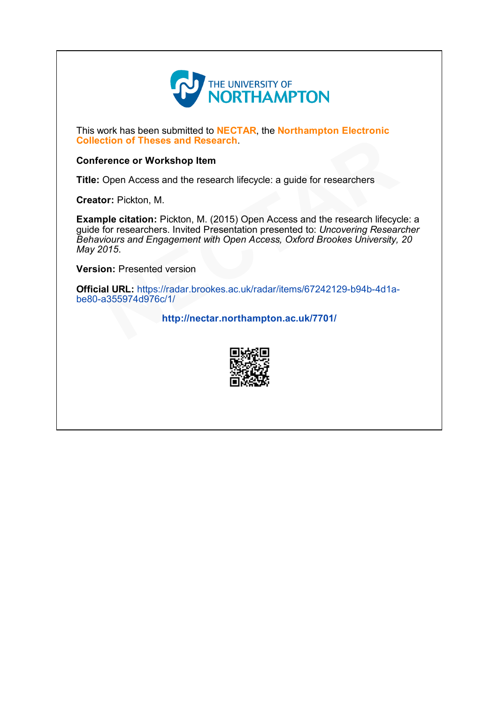

This work has been submitted to NECTAR, the Northampton Electronic Collection of Theses and Research.

#### Conference or Workshop Item

Title: Open Access and the research lifecycle: a guide for researchers

Creator: Pickton, M.

Example citation: Pickton, M. (2015) Open Access and the research lifecycle: a guide for researchers. Invited Presentation presented to: Uncovering Researcher Behaviours and Engagement with Open Access, Oxford Brookes University, 20 May 2015. Collection of Theses and Research.<br>
Conference or Workshop Item<br>
Title: Open Access and the research lifecycle: a guide for researchers<br>
Creator: Pickton, M.<br>
Example citation: Pickton, M. (2015) Open Access and the resear

Version: Presented version

Official URL: https://radar.brookes.ac.uk/radar/items/67242129-b94b-4d1a-<br>be80-a355974d976c/1/

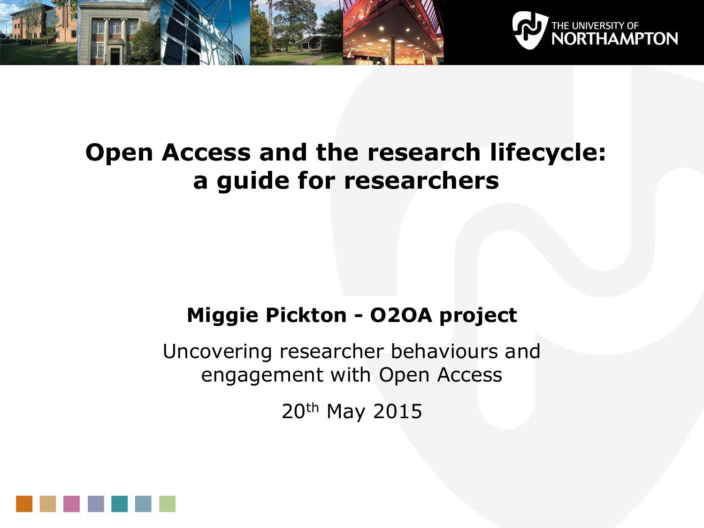



### **Open Access and the research lifecycle: a guide for researchers**

### **Miggie Pickton - O2OA project**

Uncovering researcher behaviours and engagement with Open Access

20th May 2015

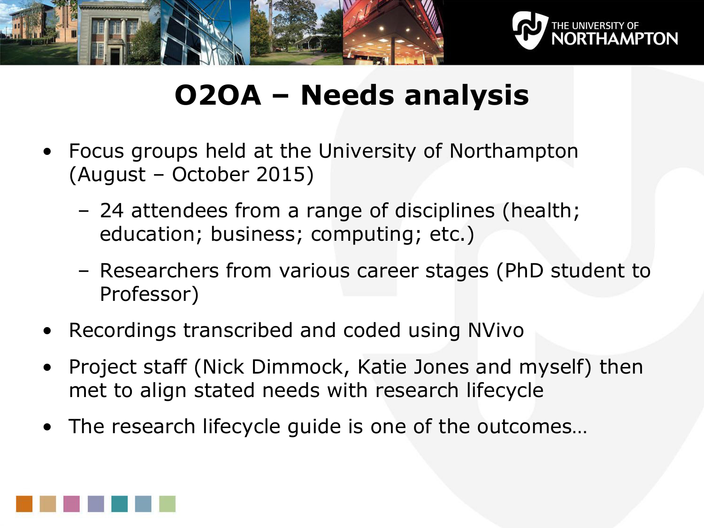



# **O2OA – Needs analysis**

- Focus groups held at the University of Northampton (August – October 2015)
	- 24 attendees from a range of disciplines (health; education; business; computing; etc.)
	- Researchers from various career stages (PhD student to Professor)
- Recordings transcribed and coded using NVivo
- Project staff (Nick Dimmock, Katie Jones and myself) then met to align stated needs with research lifecycle
- The research lifecycle guide is one of the outcomes…

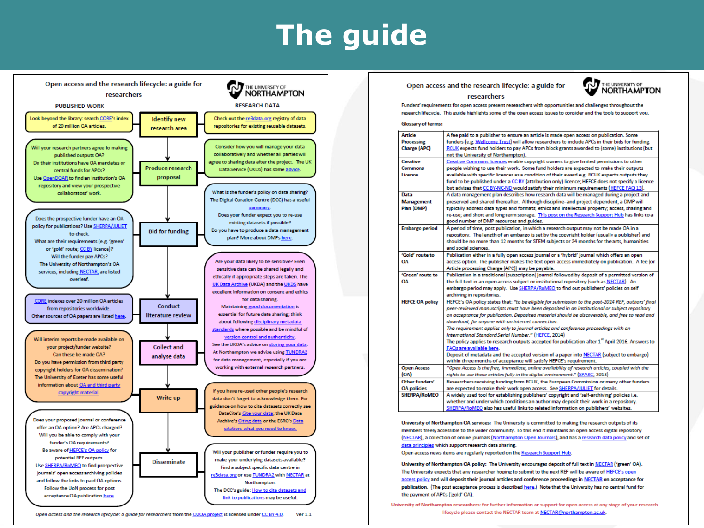# **The guide**



Open access and the research lifecycle: a guide for researchers from the O2OA project is licensed under CC BY 4.0.  $Ver 1.1$ 

#### Open access and the research lifecycle: a guide for



#### researchers

Funders' requirements for open access present researchers with opportunities and challenges throughout the research lifecycle. This guide highlights some of the open access issues to consider and the tools to support you.

#### **Glossary of terms:**

| <b>Article</b>         | A fee paid to a publisher to ensure an article is made open access on publication. Some                     |
|------------------------|-------------------------------------------------------------------------------------------------------------|
| <b>Processing</b>      | funders (e.g. Wellcome Trust) will allow researchers to include APCs in their bids for funding.             |
| <b>Charge (APC)</b>    | RCUK expects fund holders to pay APCs from block grants awarded to (some) institutions (but                 |
|                        | not the University of Northampton).                                                                         |
| <b>Creative</b>        | Creative Commons licences enable copyright owners to give limited permissions to other                      |
| <b>Commons</b>         | people wishing to use their work. Some fund holders are expected to make their outputs                      |
| Licence                | available with specific licences as a condition of their award e.g. RCUK expects outputs they               |
|                        | fund to be published under a CC BY (attribution only) licence; HEFCE does not specify a licence             |
|                        | but advises that CC BY-NC-ND would satisfy their minimum requirements (HEFCE FAQ 13).                       |
| Data                   | A data management plan describes how research data will be managed during a project and                     |
| <b>Management</b>      | preserved and shared thereafter. Although discipline- and project dependent, a DMP will                     |
| Plan (DMP)             | typically address data types and formats; ethics and intellectual property; access, sharing and             |
|                        | re-use; and short and long term storage. This post on the Research Support Hub has links to a               |
|                        | good number of DMP resources and guides.                                                                    |
| <b>Embargo period</b>  | A period of time, post publication, in which a research output may not be made OA in a                      |
|                        | repository. The length of an embargo is set by the copyright holder (usually a publisher) and               |
|                        | should be no more than 12 months for STEM subjects or 24 months for the arts, humanities                    |
|                        | and social sciences.                                                                                        |
| 'Gold' route to        | Publication either in a fully open access journal or a 'hybrid' journal which offers an open                |
| ΟA                     | access option. The publisher makes the text open access immediately on publication. A fee (or               |
|                        | Article processing Charge (APC)) may be payable.                                                            |
| 'Green' route to       | Publication in a traditional (subscription) journal followed by deposit of a permitted version of           |
| OA                     | the full text in an open access subject or institutional repository (such as NECTAR). An                    |
|                        | embargo period may apply. Use SHERPA/RoMEO to find out publishers' policies on self                         |
|                        | archiving in repositories.                                                                                  |
| <b>HEFCE OA policy</b> | HEFCE's OA policy states that: "to be eligible for submission to the post-2014 REF, authors' final          |
|                        | peer-reviewed manuscripts must have been deposited in an institutional or subject repository                |
|                        | on acceptance for publication. Deposited material should be discoverable, and free to read and              |
|                        | download, for anyone with an internet connection.                                                           |
|                        | The requirement applies only to journal articles and conference proceedings with an                         |
|                        | International Standard Serial Number." (HEFCE, 2014)                                                        |
|                        | The policy applies to research outputs accepted for publication after 1 <sup>x</sup> April 2016. Answers to |
|                        | FAQs are available here.                                                                                    |
|                        | Deposit of metadata and the accepted version of a paper into NECTAR (subject to embargo)                    |
|                        | within three months of acceptance will satisfy HEFCE's requirement.                                         |
| <b>Open Access</b>     | "Open Access is the free, immediate, online availability of research articles, coupled with the             |
| (OA)                   | rights to use these articles fully in the digital environment." (SPARC, 2013)                               |
| Other funders'         | Researchers receiving funding from RCUK, the European Commission or many other funders                      |
| <b>OA</b> policies     | are expected to make their work open access. See SHERPA/JULIET for details.                                 |
| <b>SHERPA/RoMEO</b>    | A widely used tool for establishing publishers' copyright and 'self-archiving' policies i.e.                |
|                        |                                                                                                             |
|                        | whether and under which conditions an author may deposit their work in a repository.                        |

University of Northampton OA services: The University is committed to making the research outputs of its members freely accessible to the wider community. To this end it maintains an open access digital repository (NECTAR), a collection of online journals (Northampton Open Journals), and has a research data policy and set of data principles which support research data sharing.

Open access news items are regularly reported on the Research Support Hub.

University of Northampton OA policy: The University encourages deposit of full text in NECTAR ('green' OA). The University expects that any researcher hoping to submit to the next REF will be aware of HEFCE's open access policy and will deposit their journal articles and conference proceedings in NECTAR on acceptance for publication. (The post acceptance process is described here.) Note that the University has no central fund for the payment of APCs ('gold' OA).

University of Northampton researchers: for further information or support for open access at any stage of your research lifecycle please contact the NECTAR team at NECTAR@northampton.ac.uk.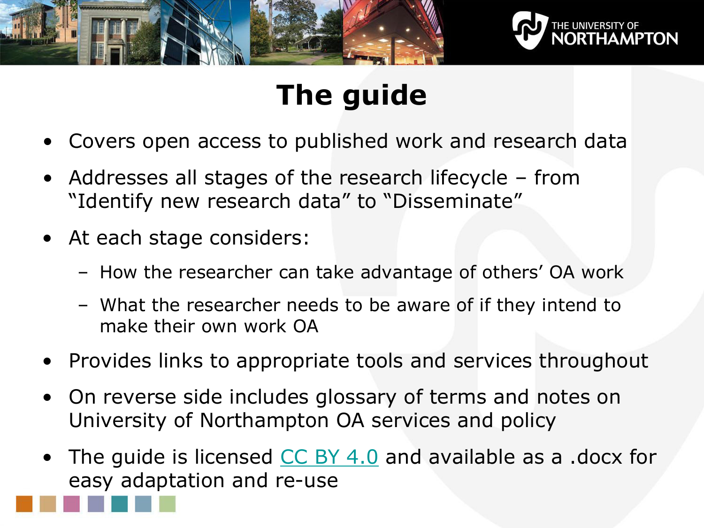



# **The guide**

- Covers open access to published work and research data
- Addresses all stages of the research lifecycle from "Identify new research data" to "Disseminate"
- At each stage considers:
	- How the researcher can take advantage of others' OA work
	- What the researcher needs to be aware of if they intend to make their own work OA
- Provides links to appropriate tools and services throughout
- On reverse side includes glossary of terms and notes on University of Northampton OA services and policy
- The guide is licensed [CC BY 4.0](http://creativecommons.org/licenses/by/4.0/) and available as a .docx for easy adaptation and re-use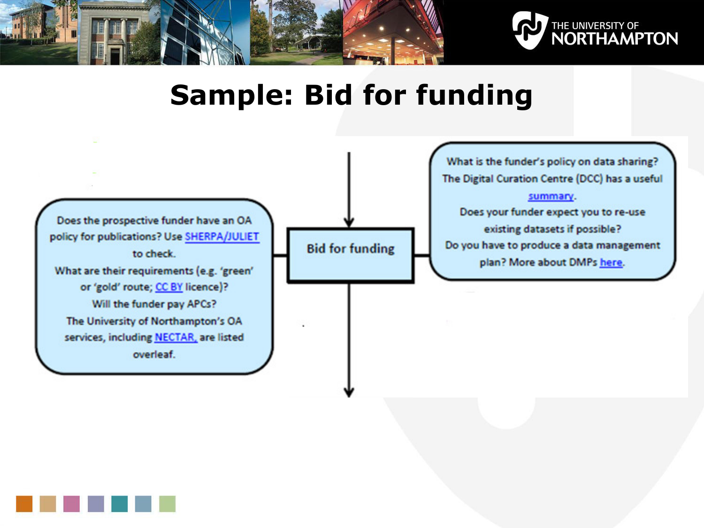



## **Sample: Bid for funding**



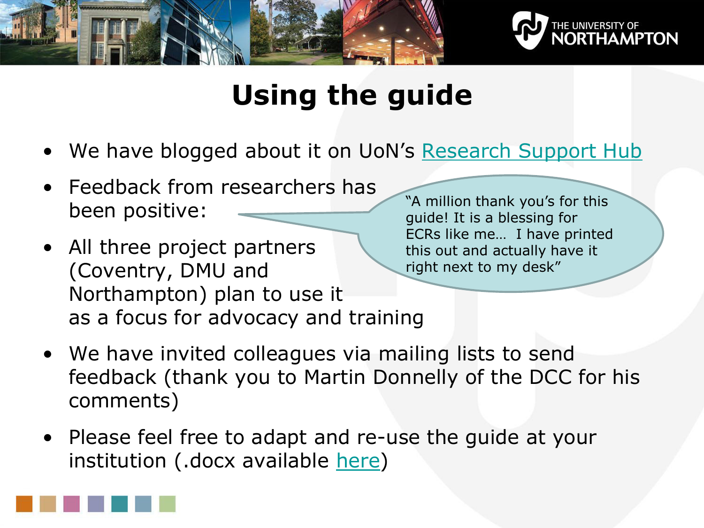



# **Using the guide**

- We have blogged about it on UoN's [Research Support Hub](http://researchsupporthub.northampton.ac.uk/2015/04/23/open-access-and-the-research-lifecycle-a-guide-for-researchers/)
- Feedback from researchers has been positive:
- All three project partners (Coventry, DMU and Northampton) plan to use it as a focus for advocacy and training

"A million thank you's for this guide! It is a blessing for ECRs like me… I have printed this out and actually have it right next to my desk"

- We have invited colleagues via mailing lists to send feedback (thank you to Martin Donnelly of the DCC for his comments)
- Please feel free to adapt and re-use the guide at your institution (.docx available [here\)](http://researchsupporthub.northampton.ac.uk/2015/04/23/open-access-and-the-research-lifecycle-a-guide-for-researchers/)